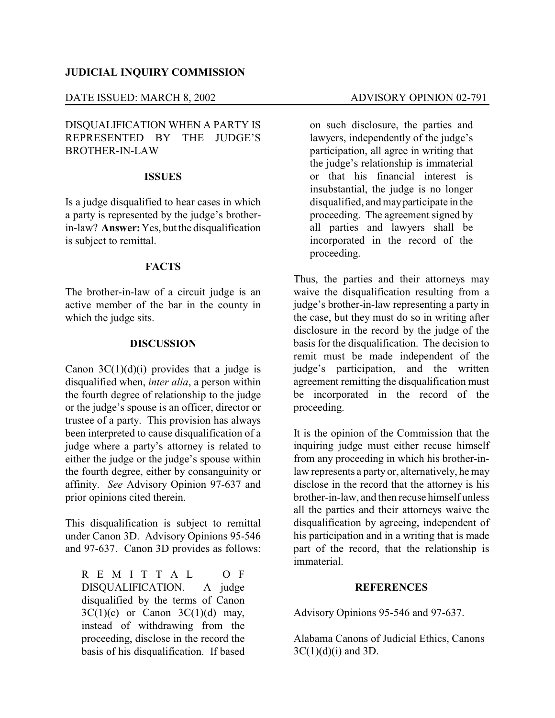#### **JUDICIAL INQUIRY COMMISSION**

## DATE ISSUED: MARCH 8, 2002 ADVISORY OPINION 02-791

# DISQUALIFICATION WHEN A PARTY IS REPRESENTED BY THE JUDGE'S BROTHER-IN-LAW

## **ISSUES**

Is a judge disqualified to hear cases in which a party is represented by the judge's brotherin-law? **Answer:**Yes, but the disqualification is subject to remittal.

#### **FACTS**

The brother-in-law of a circuit judge is an active member of the bar in the county in which the judge sits.

## **DISCUSSION**

Canon  $3C(1)(d)(i)$  provides that a judge is disqualified when, *inter alia*, a person within the fourth degree of relationship to the judge or the judge's spouse is an officer, director or trustee of a party. This provision has always been interpreted to cause disqualification of a judge where a party's attorney is related to either the judge or the judge's spouse within the fourth degree, either by consanguinity or affinity. *See* Advisory Opinion 97-637 and prior opinions cited therein.

This disqualification is subject to remittal under Canon 3D. Advisory Opinions 95-546 and 97-637. Canon 3D provides as follows:

R E M I T T A L O F DISQUALIFICATION. A judge disqualified by the terms of Canon  $3C(1)(c)$  or Canon  $3C(1)(d)$  may, instead of withdrawing from the proceeding, disclose in the record the basis of his disqualification. If based

on such disclosure, the parties and lawyers, independently of the judge's participation, all agree in writing that the judge's relationship is immaterial or that his financial interest is insubstantial, the judge is no longer disqualified, and mayparticipate in the proceeding. The agreement signed by all parties and lawyers shall be incorporated in the record of the proceeding.

Thus, the parties and their attorneys may waive the disqualification resulting from a judge's brother-in-law representing a party in the case, but they must do so in writing after disclosure in the record by the judge of the basis for the disqualification. The decision to remit must be made independent of the judge's participation, and the written agreement remitting the disqualification must be incorporated in the record of the proceeding.

It is the opinion of the Commission that the inquiring judge must either recuse himself from any proceeding in which his brother-inlaw represents a party or, alternatively, he may disclose in the record that the attorney is his brother-in-law, and then recuse himself unless all the parties and their attorneys waive the disqualification by agreeing, independent of his participation and in a writing that is made part of the record, that the relationship is immaterial.

## **REFERENCES**

Advisory Opinions 95-546 and 97-637.

Alabama Canons of Judicial Ethics, Canons  $3C(1)(d)(i)$  and  $3D$ .